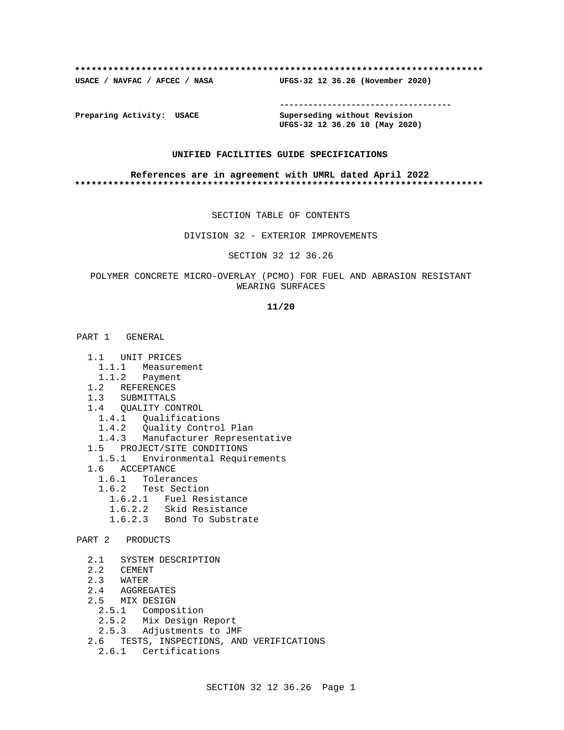### **\*\*\*\*\*\*\*\*\*\*\*\*\*\*\*\*\*\*\*\*\*\*\*\*\*\*\*\*\*\*\*\*\*\*\*\*\*\*\*\*\*\*\*\*\*\*\*\*\*\*\*\*\*\*\*\*\*\*\*\*\*\*\*\*\*\*\*\*\*\*\*\*\*\***

**USACE / NAVFAC / AFCEC / NASA UFGS-32 12 36.26 (November 2020)**

**------------------------------------**

**Preparing Activity: USACE Superseding without Revision UFGS-32 12 36.26 10 (May 2020)**

## **UNIFIED FACILITIES GUIDE SPECIFICATIONS**

### **References are in agreement with UMRL dated April 2022 \*\*\*\*\*\*\*\*\*\*\*\*\*\*\*\*\*\*\*\*\*\*\*\*\*\*\*\*\*\*\*\*\*\*\*\*\*\*\*\*\*\*\*\*\*\*\*\*\*\*\*\*\*\*\*\*\*\*\*\*\*\*\*\*\*\*\*\*\*\*\*\*\*\***

### SECTION TABLE OF CONTENTS

### DIVISION 32 - EXTERIOR IMPROVEMENTS

## SECTION 32 12 36.26

## POLYMER CONCRETE MICRO-OVERLAY (PCMO) FOR FUEL AND ABRASION RESISTANT WEARING SURFACES

**11/20**

# PART 1 GENERAL

- 1.1 UNIT PRICES
	- 1.1.1 Measurement
	- 1.1.2 Payment
- 1.2 REFERENCES
- 1.3 SUBMITTALS
- 1.4 QUALITY CONTROL
- 1.4.1 Qualifications
- 1.4.2 Quality Control Plan
- 1.4.3 Manufacturer Representative
	- 1.5 PROJECT/SITE CONDITIONS
	- 1.5.1 Environmental Requirements
	- 1.6 ACCEPTANCE
		- 1.6.1 Tolerances
		- 1.6.2 Test Section
			- 1.6.2.1 Fuel Resistance
			- 1.6.2.2 Skid Resistance
			- 1.6.2.3 Bond To Substrate
- PART 2 PRODUCTS
	- 2.1 SYSTEM DESCRIPTION
	- 2.2 CEMENT
	- 2.3 WATER
	- 2.4 AGGREGATES
	- 2.5 MIX DESIGN
		- 2.5.1 Composition
		- 2.5.2 Mix Design Report
		- 2.5.3 Adjustments to JMF
	- 2.6 TESTS, INSPECTIONS, AND VERIFICATIONS
		- 2.6.1 Certifications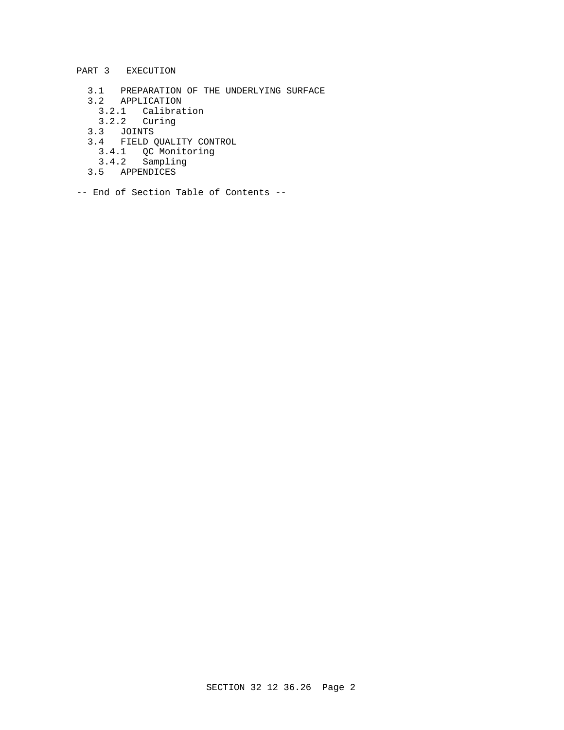- PART 3 EXECUTION
- 3.1 PREPARATION OF THE UNDERLYING SURFACE
- 3.2 APPLICATION
	- 3.2.1 Calibration
	- 3.2.2 Curing
- 3.3 JOINTS
- 3.4 FIELD QUALITY CONTROL
- 3.4.1 QC Monitoring
- 3.4.2 Sampling
	- 3.5 APPENDICES
- -- End of Section Table of Contents --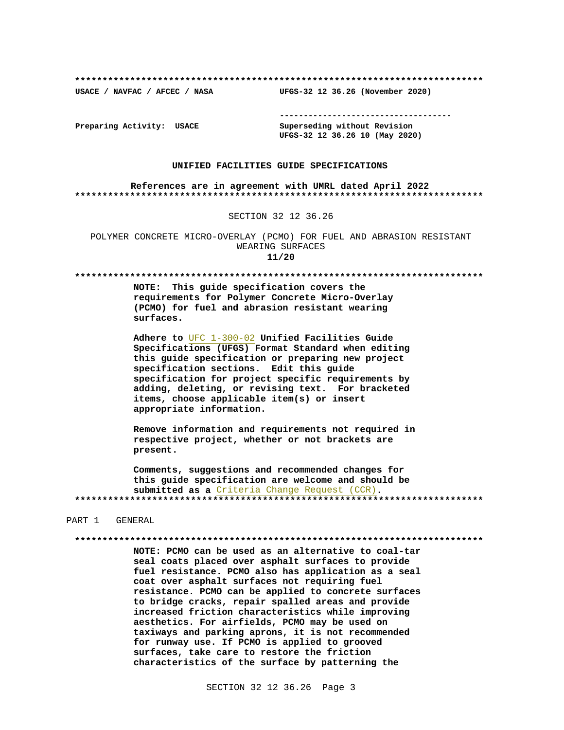**\*\*\*\*\*\*\*\*\*\*\*\*\*\*\*\*\*\*\*\*\*\*\*\*\*\*\*\*\*\*\*\*\*\*\*\*\*\*\*\*\*\*\*\*\*\*\*\*\*\*\*\*\*\*\*\*\*\*\*\*\*\*\*\*\*\*\*\*\*\*\*\*\*\***

**USACE / NAVFAC / AFCEC / NASA UFGS-32 12 36.26 (November 2020)**

**------------------------------------**

**Preparing Activity: USACE Superseding without Revision UFGS-32 12 36.26 10 (May 2020)**

### **UNIFIED FACILITIES GUIDE SPECIFICATIONS**

### **References are in agreement with UMRL dated April 2022 \*\*\*\*\*\*\*\*\*\*\*\*\*\*\*\*\*\*\*\*\*\*\*\*\*\*\*\*\*\*\*\*\*\*\*\*\*\*\*\*\*\*\*\*\*\*\*\*\*\*\*\*\*\*\*\*\*\*\*\*\*\*\*\*\*\*\*\*\*\*\*\*\*\***

### SECTION 32 12 36.26

POLYMER CONCRETE MICRO-OVERLAY (PCMO) FOR FUEL AND ABRASION RESISTANT WEARING SURFACES **11/20**

**\*\*\*\*\*\*\*\*\*\*\*\*\*\*\*\*\*\*\*\*\*\*\*\*\*\*\*\*\*\*\*\*\*\*\*\*\*\*\*\*\*\*\*\*\*\*\*\*\*\*\*\*\*\*\*\*\*\*\*\*\*\*\*\*\*\*\*\*\*\*\*\*\*\***

**NOTE: This guide specification covers the requirements for Polymer Concrete Micro-Overlay (PCMO) for fuel and abrasion resistant wearing surfaces.**

**Adhere to** UFC 1-300-02 **Unified Facilities Guide Specifications (UFGS) Format Standard when editing this guide specification or preparing new project specification sections. Edit this guide specification for project specific requirements by adding, deleting, or revising text. For bracketed items, choose applicable item(s) or insert appropriate information.**

**Remove information and requirements not required in respective project, whether or not brackets are present.**

**Comments, suggestions and recommended changes for this guide specification are welcome and should be submitted as a** Criteria Change Request (CCR)**. \*\*\*\*\*\*\*\*\*\*\*\*\*\*\*\*\*\*\*\*\*\*\*\*\*\*\*\*\*\*\*\*\*\*\*\*\*\*\*\*\*\*\*\*\*\*\*\*\*\*\*\*\*\*\*\*\*\*\*\*\*\*\*\*\*\*\*\*\*\*\*\*\*\***

### PART 1 GENERAL

**\*\*\*\*\*\*\*\*\*\*\*\*\*\*\*\*\*\*\*\*\*\*\*\*\*\*\*\*\*\*\*\*\*\*\*\*\*\*\*\*\*\*\*\*\*\*\*\*\*\*\*\*\*\*\*\*\*\*\*\*\*\*\*\*\*\*\*\*\*\*\*\*\*\***

**NOTE: PCMO can be used as an alternative to coal-tar seal coats placed over asphalt surfaces to provide fuel resistance. PCMO also has application as a seal coat over asphalt surfaces not requiring fuel resistance. PCMO can be applied to concrete surfaces to bridge cracks, repair spalled areas and provide increased friction characteristics while improving aesthetics. For airfields, PCMO may be used on taxiways and parking aprons, it is not recommended for runway use. If PCMO is applied to grooved surfaces, take care to restore the friction characteristics of the surface by patterning the**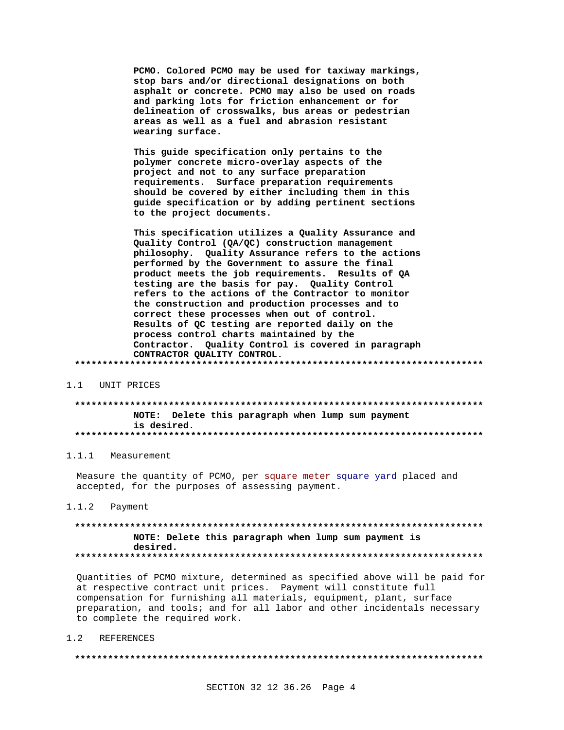PCMO. Colored PCMO may be used for taxiway markings, stop bars and/or directional designations on both asphalt or concrete. PCMO may also be used on roads and parking lots for friction enhancement or for delineation of crosswalks, bus areas or pedestrian areas as well as a fuel and abrasion resistant wearing surface.

This guide specification only pertains to the polymer concrete micro-overlay aspects of the project and not to any surface preparation requirements. Surface preparation requirements should be covered by either including them in this guide specification or by adding pertinent sections to the project documents.

This specification utilizes a Quality Assurance and Quality Control (QA/QC) construction management philosophy. Quality Assurance refers to the actions performed by the Government to assure the final product meets the job requirements. Results of QA testing are the basis for pay. Quality Control refers to the actions of the Contractor to monitor the construction and production processes and to correct these processes when out of control. Results of QC testing are reported daily on the process control charts maintained by the Contractor. Quality Control is covered in paragraph CONTRACTOR QUALITY CONTROL. 

#### $1.1$ UNIT PRICES

## NOTE: Delete this paragraph when lump sum payment is desired.

## 1.1.1 Measurement

Measure the quantity of PCMO, per square meter square yard placed and accepted, for the purposes of assessing payment.

#### $1.1.2$ Payment

## NOTE: Delete this paragraph when lump sum payment is desired.

Quantities of PCMO mixture, determined as specified above will be paid for at respective contract unit prices. Payment will constitute full compensation for furnishing all materials, equipment, plant, surface preparation, and tools; and for all labor and other incidentals necessary to complete the required work.

#### $1.2$ **REFERENCES**

###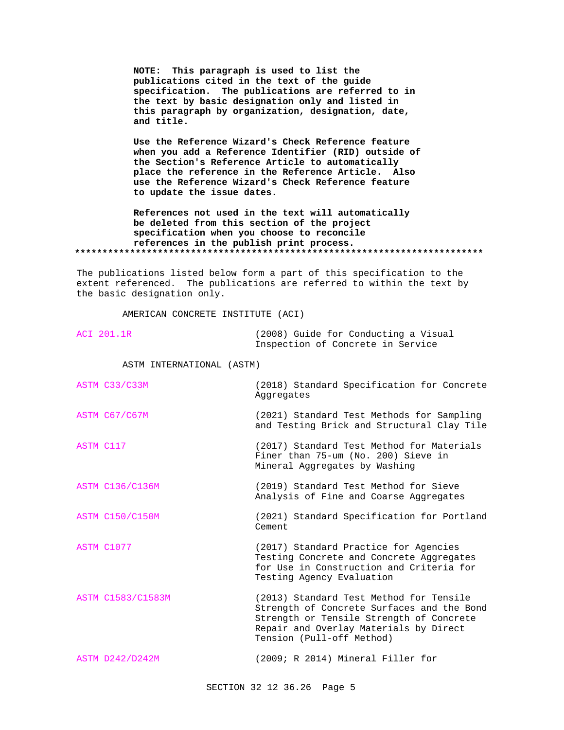**NOTE: This paragraph is used to list the publications cited in the text of the guide specification. The publications are referred to in the text by basic designation only and listed in this paragraph by organization, designation, date, and title.**

**Use the Reference Wizard's Check Reference feature when you add a Reference Identifier (RID) outside of the Section's Reference Article to automatically place the reference in the Reference Article. Also use the Reference Wizard's Check Reference feature to update the issue dates.**

**References not used in the text will automatically be deleted from this section of the project specification when you choose to reconcile references in the publish print process. \*\*\*\*\*\*\*\*\*\*\*\*\*\*\*\*\*\*\*\*\*\*\*\*\*\*\*\*\*\*\*\*\*\*\*\*\*\*\*\*\*\*\*\*\*\*\*\*\*\*\*\*\*\*\*\*\*\*\*\*\*\*\*\*\*\*\*\*\*\*\*\*\*\***

The publications listed below form a part of this specification to the extent referenced. The publications are referred to within the text by the basic designation only.

AMERICAN CONCRETE INSTITUTE (ACI)

| ACI 201.1R                | (2008) Guide for Conducting a Visual<br>Inspection of Concrete in Service                                         |
|---------------------------|-------------------------------------------------------------------------------------------------------------------|
| ASTM INTERNATIONAL (ASTM) |                                                                                                                   |
| ASTM C33/C33M             | (2018) Standard Specification for Concrete<br>Aggregates                                                          |
| ASTM C67/C67M             | (2021) Standard Test Methods for Sampling<br>and Testing Brick and Structural Clay Tile                           |
| ASTM C117                 | (2017) Standard Test Method for Materials<br>Finer than 75-um (No. 200) Sieve in<br>Mineral Aggregates by Washing |

ASTM C136/C136M (2019) Standard Test Method for Sieve Analysis of Fine and Coarse Aggregates

ASTM C150/C150M (2021) Standard Specification for Portland Cement

ASTM C1077 (2017) Standard Practice for Agencies Testing Concrete and Concrete Aggregates for Use in Construction and Criteria for Testing Agency Evaluation

ASTM C1583/C1583M (2013) Standard Test Method for Tensile Strength of Concrete Surfaces and the Bond Strength or Tensile Strength of Concrete Repair and Overlay Materials by Direct Tension (Pull-off Method)

ASTM D242/D242M (2009; R 2014) Mineral Filler for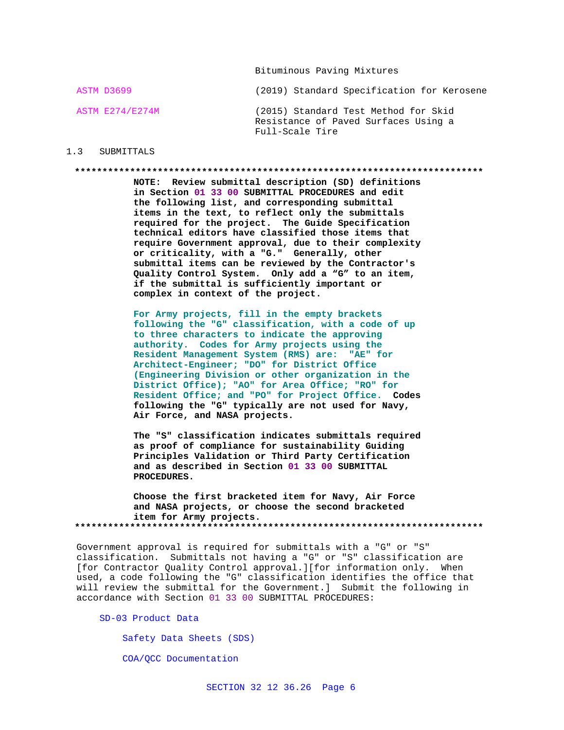Bituminous Paving Mixtures

ASTM D3699 (2019) Standard Specification for Kerosene **ASTM E274/E274M** (2015) Standard Test Method for Skid Resistance of Paved Surfaces Using a Full-Scale Tire

## 1.3 SUBMITTALS

## 

NOTE: Review submittal description (SD) definitions in Section 01 33 00 SUBMITTAL PROCEDURES and edit the following list, and corresponding submittal items in the text, to reflect only the submittals required for the project. The Guide Specification technical editors have classified those items that require Government approval, due to their complexity or criticality, with a "G." Generally, other submittal items can be reviewed by the Contractor's Quality Control System. Only add a "G" to an item, if the submittal is sufficiently important or complex in context of the project.

For Army projects, fill in the empty brackets following the "G" classification, with a code of up to three characters to indicate the approving authority. Codes for Army projects using the Resident Management System (RMS) are: "AE" for Architect-Engineer; "DO" for District Office (Engineering Division or other organization in the District Office); "AO" for Area Office; "RO" for Resident Office; and "PO" for Project Office. Codes following the "G" typically are not used for Navy, Air Force, and NASA projects.

The "S" classification indicates submittals required as proof of compliance for sustainability Guiding Principles Validation or Third Party Certification and as described in Section 01 33 00 SUBMITTAL PROCEDURES.

Choose the first bracketed item for Navy, Air Force and NASA projects, or choose the second bracketed item for Army projects. 

Government approval is required for submittals with a "G" or "S" classification. Submittals not having a "G" or "S" classification are [for Contractor Quality Control approval.][for information only. When used, a code following the "G" classification identifies the office that will review the submittal for the Government.] Submit the following in accordance with Section 01 33 00 SUBMITTAL PROCEDURES:

SD-03 Product Data

Safety Data Sheets (SDS)

COA/QCC Documentation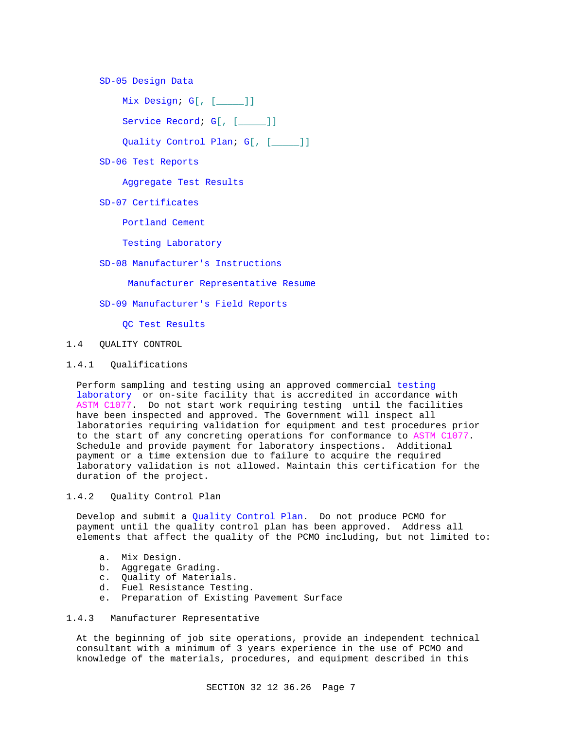## SD-05 Design Data

Mix Design; G[, [\_\_\_\_\_]]

Service Record; G[, [\_\_\_\_]]

Quality Control Plan; G[, [\_\_\_\_\_]]

SD-06 Test Reports

Aggregate Test Results

SD-07 Certificates

Portland Cement

Testing Laboratory

## SD-08 Manufacturer's Instructions

Manufacturer Representative Resume

SD-09 Manufacturer's Field Reports

QC Test Results

## 1.4 QUALITY CONTROL

## 1.4.1 Qualifications

Perform sampling and testing using an approved commercial testing laboratory or on-site facility that is accredited in accordance with ASTM C1077. Do not start work requiring testing until the facilities have been inspected and approved. The Government will inspect all laboratories requiring validation for equipment and test procedures prior to the start of any concreting operations for conformance to ASTM C1077. Schedule and provide payment for laboratory inspections. Additional payment or a time extension due to failure to acquire the required laboratory validation is not allowed. Maintain this certification for the duration of the project.

## 1.4.2 Quality Control Plan

Develop and submit a Quality Control Plan. Do not produce PCMO for payment until the quality control plan has been approved. Address all elements that affect the quality of the PCMO including, but not limited to:

- a. Mix Design.
- b. Aggregate Grading.
- c. Quality of Materials.
- d. Fuel Resistance Testing.
- e. Preparation of Existing Pavement Surface

## 1.4.3 Manufacturer Representative

At the beginning of job site operations, provide an independent technical consultant with a minimum of 3 years experience in the use of PCMO and knowledge of the materials, procedures, and equipment described in this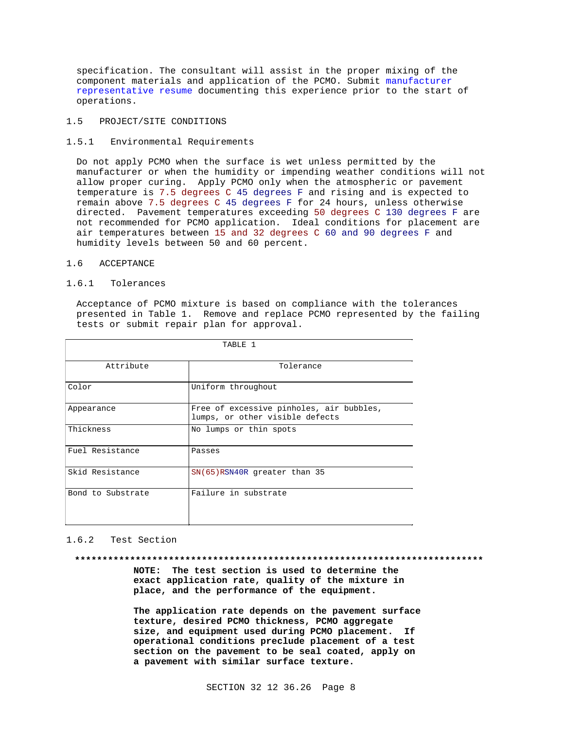specification. The consultant will assist in the proper mixing of the component materials and application of the PCMO. Submit manufacturer representative resume documenting this experience prior to the start of operations.

## 1.5 PROJECT/SITE CONDITIONS

## 1.5.1 Environmental Requirements

Do not apply PCMO when the surface is wet unless permitted by the manufacturer or when the humidity or impending weather conditions will not allow proper curing. Apply PCMO only when the atmospheric or pavement temperature is 7.5 degrees C 45 degrees F and rising and is expected to remain above 7.5 degrees C 45 degrees F for 24 hours, unless otherwise directed. Pavement temperatures exceeding 50 degrees C 130 degrees F are not recommended for PCMO application. Ideal conditions for placement are air temperatures between 15 and 32 degrees C 60 and 90 degrees F and humidity levels between 50 and 60 percent.

## 1.6 ACCEPTANCE

## 1.6.1 Tolerances

Acceptance of PCMO mixture is based on compliance with the tolerances presented in Table 1. Remove and replace PCMO represented by the failing tests or submit repair plan for approval.

| TABLE 1           |                                                                             |  |
|-------------------|-----------------------------------------------------------------------------|--|
| Attribute         | Tolerance                                                                   |  |
| Color             | Uniform throughout                                                          |  |
| Appearance        | Free of excessive pinholes, air bubbles,<br>lumps, or other visible defects |  |
| Thickness         | No lumps or thin spots                                                      |  |
| Fuel Resistance   | Passes                                                                      |  |
| Skid Resistance   | $SN(65)$ RSN40R greater than 35                                             |  |
| Bond to Substrate | Failure in substrate                                                        |  |

### 1.6.2 Test Section

### **\*\*\*\*\*\*\*\*\*\*\*\*\*\*\*\*\*\*\*\*\*\*\*\*\*\*\*\*\*\*\*\*\*\*\*\*\*\*\*\*\*\*\*\*\*\*\*\*\*\*\*\*\*\*\*\*\*\*\*\*\*\*\*\*\*\*\*\*\*\*\*\*\*\***

**NOTE: The test section is used to determine the exact application rate, quality of the mixture in place, and the performance of the equipment.**

**The application rate depends on the pavement surface texture, desired PCMO thickness, PCMO aggregate size, and equipment used during PCMO placement. If operational conditions preclude placement of a test section on the pavement to be seal coated, apply on a pavement with similar surface texture.**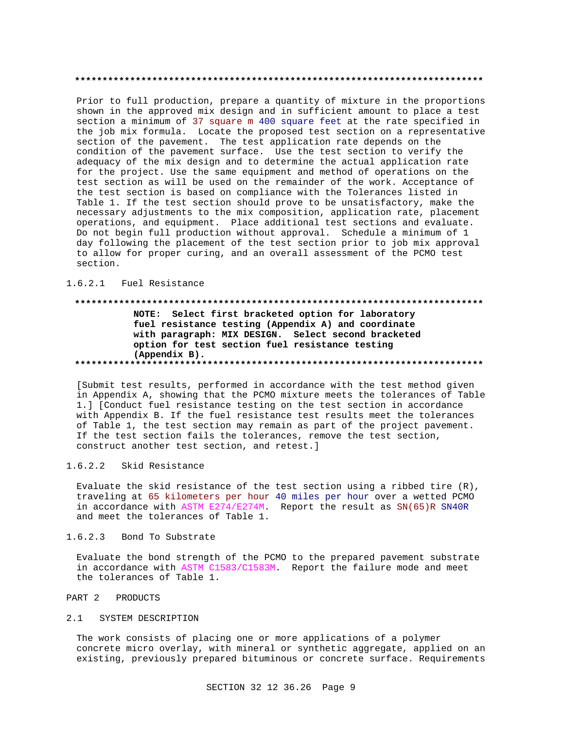Prior to full production, prepare a quantity of mixture in the proportions shown in the approved mix design and in sufficient amount to place a test section a minimum of 37 square m 400 square feet at the rate specified in the job mix formula. Locate the proposed test section on a representative section of the pavement. The test application rate depends on the condition of the pavement surface. Use the test section to verify the adequacy of the mix design and to determine the actual application rate for the project. Use the same equipment and method of operations on the test section as will be used on the remainder of the work. Acceptance of the test section is based on compliance with the Tolerances listed in Table 1. If the test section should prove to be unsatisfactory, make the necessary adjustments to the mix composition, application rate, placement operations, and equipment. Place additional test sections and evaluate. Do not begin full production without approval. Schedule a minimum of 1 day following the placement of the test section prior to job mix approval to allow for proper curing, and an overall assessment of the PCMO test section.

## 1.6.2.1 Fuel Resistance

## NOTE: Select first bracketed option for laboratory fuel resistance testing (Appendix A) and coordinate with paragraph: MIX DESIGN. Select second bracketed option for test section fuel resistance testing  $(A$ ppendix  $B$ ).

[Submit test results, performed in accordance with the test method given in Appendix A, showing that the PCMO mixture meets the tolerances of Table 1.] [Conduct fuel resistance testing on the test section in accordance with Appendix B. If the fuel resistance test results meet the tolerances of Table 1, the test section may remain as part of the project pavement. If the test section fails the tolerances, remove the test section, construct another test section, and retest.]

#### $1.6.2.2$ Skid Resistance

Evaluate the skid resistance of the test section using a ribbed tire (R), traveling at 65 kilometers per hour 40 miles per hour over a wetted PCMO in accordance with ASTM E274/E274M. Report the result as SN(65)R SN40R and meet the tolerances of Table 1.

#### $1.6.2.3$ Bond To Substrate

Evaluate the bond strength of the PCMO to the prepared pavement substrate in accordance with ASTM C1583/C1583M. Report the failure mode and meet the tolerances of Table 1.

#### PART 2 PRODUCTS

## 2.1 SYSTEM DESCRIPTION

The work consists of placing one or more applications of a polymer concrete micro overlay, with mineral or synthetic aggregate, applied on an existing, previously prepared bituminous or concrete surface. Requirements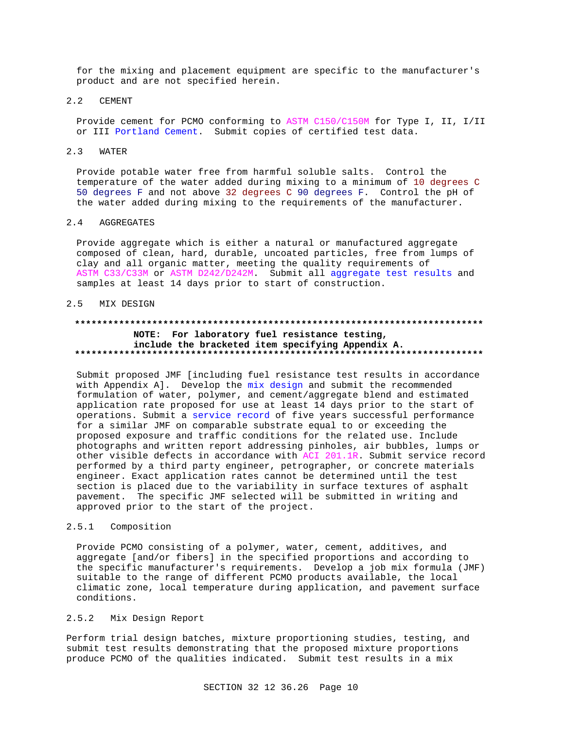for the mixing and placement equipment are specific to the manufacturer's product and are not specified herein.

#### $2.2$ **CEMENT**

Provide cement for PCMO conforming to ASTM C150/C150M for Type I, II, I/II or III Portland Cement. Submit copies of certified test data.

#### $2.3$ WATER

Provide potable water free from harmful soluble salts. Control the temperature of the water added during mixing to a minimum of 10 degrees C 50 degrees F and not above 32 degrees C 90 degrees F. Control the pH of the water added during mixing to the requirements of the manufacturer.

#### $2.4$ AGGREGATES

Provide aggregate which is either a natural or manufactured aggregate composed of clean, hard, durable, uncoated particles, free from lumps of clay and all organic matter, meeting the quality requirements of ASTM C33/C33M or ASTM D242/D242M. Submit all aggregate test results and samples at least 14 days prior to start of construction.

#### MIX DESIGN  $2.5$

## NOTE: For laboratory fuel resistance testing, include the bracketed item specifying Appendix A.

Submit proposed JMF [including fuel resistance test results in accordance with Appendix A]. Develop the mix design and submit the recommended formulation of water, polymer, and cement/aggregate blend and estimated application rate proposed for use at least 14 days prior to the start of operations. Submit a service record of five years successful performance for a similar JMF on comparable substrate equal to or exceeding the proposed exposure and traffic conditions for the related use. Include photographs and written report addressing pinholes, air bubbles, lumps or other visible defects in accordance with ACI 201.1R. Submit service record performed by a third party engineer, petrographer, or concrete materials engineer. Exact application rates cannot be determined until the test section is placed due to the variability in surface textures of asphalt pavement. The specific JMF selected will be submitted in writing and approved prior to the start of the project.

#### $2.5.1$ Composition

Provide PCMO consisting of a polymer, water, cement, additives, and aggregate [and/or fibers] in the specified proportions and according to the specific manufacturer's requirements. Develop a job mix formula (JMF) suitable to the range of different PCMO products available, the local climatic zone, local temperature during application, and pavement surface conditions.

#### $2.5.2$ Mix Design Report

Perform trial design batches, mixture proportioning studies, testing, and submit test results demonstrating that the proposed mixture proportions produce PCMO of the qualities indicated. Submit test results in a mix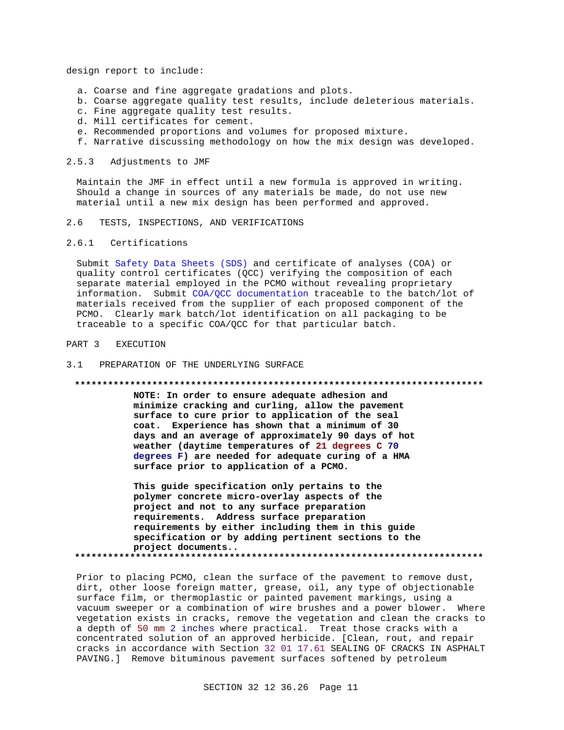design report to include:

- a. Coarse and fine aggregate gradations and plots.
- b. Coarse aggregate quality test results, include deleterious materials.
- c. Fine aggregate quality test results.
- d. Mill certificates for cement.
- e. Recommended proportions and volumes for proposed mixture.
- f. Narrative discussing methodology on how the mix design was developed.

## 2.5.3 Adjustments to JMF

Maintain the JMF in effect until a new formula is approved in writing. Should a change in sources of any materials be made, do not use new material until a new mix design has been performed and approved.

2.6 TESTS, INSPECTIONS, AND VERIFICATIONS

### 2.6.1 Certifications

Submit Safety Data Sheets (SDS) and certificate of analyses (COA) or quality control certificates (QCC) verifying the composition of each separate material employed in the PCMO without revealing proprietary information. Submit COA/QCC documentation traceable to the batch/lot of materials received from the supplier of each proposed component of the PCMO. Clearly mark batch/lot identification on all packaging to be traceable to a specific COA/QCC for that particular batch.

## PART 3 EXECUTION

### 3.1 PREPARATION OF THE UNDERLYING SURFACE

### **\*\*\*\*\*\*\*\*\*\*\*\*\*\*\*\*\*\*\*\*\*\*\*\*\*\*\*\*\*\*\*\*\*\*\*\*\*\*\*\*\*\*\*\*\*\*\*\*\*\*\*\*\*\*\*\*\*\*\*\*\*\*\*\*\*\*\*\*\*\*\*\*\*\***

**NOTE: In order to ensure adequate adhesion and minimize cracking and curling, allow the pavement surface to cure prior to application of the seal coat. Experience has shown that a minimum of 30 days and an average of approximately 90 days of hot weather (daytime temperatures of 21 degrees C 70 degrees F) are needed for adequate curing of a HMA surface prior to application of a PCMO.**

**This guide specification only pertains to the polymer concrete micro-overlay aspects of the project and not to any surface preparation requirements. Address surface preparation requirements by either including them in this guide specification or by adding pertinent sections to the project documents.. \*\*\*\*\*\*\*\*\*\*\*\*\*\*\*\*\*\*\*\*\*\*\*\*\*\*\*\*\*\*\*\*\*\*\*\*\*\*\*\*\*\*\*\*\*\*\*\*\*\*\*\*\*\*\*\*\*\*\*\*\*\*\*\*\*\*\*\*\*\*\*\*\*\***

Prior to placing PCMO, clean the surface of the pavement to remove dust, dirt, other loose foreign matter, grease, oil, any type of objectionable surface film, or thermoplastic or painted pavement markings, using a vacuum sweeper or a combination of wire brushes and a power blower. Where vegetation exists in cracks, remove the vegetation and clean the cracks to a depth of 50 mm 2 inches where practical. Treat those cracks with a concentrated solution of an approved herbicide. [Clean, rout, and repair cracks in accordance with Section 32 01 17.61 SEALING OF CRACKS IN ASPHALT PAVING.] Remove bituminous pavement surfaces softened by petroleum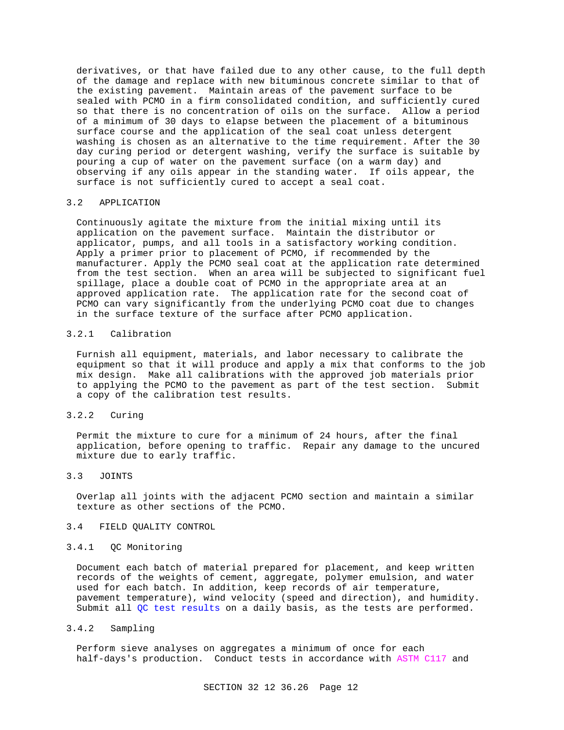derivatives, or that have failed due to any other cause, to the full depth of the damage and replace with new bituminous concrete similar to that of the existing pavement. Maintain areas of the pavement surface to be sealed with PCMO in a firm consolidated condition, and sufficiently cured so that there is no concentration of oils on the surface. Allow a period of a minimum of 30 days to elapse between the placement of a bituminous surface course and the application of the seal coat unless detergent washing is chosen as an alternative to the time requirement. After the 30 day curing period or detergent washing, verify the surface is suitable by pouring a cup of water on the pavement surface (on a warm day) and observing if any oils appear in the standing water. If oils appear, the surface is not sufficiently cured to accept a seal coat.

## 3.2 APPLICATION

Continuously agitate the mixture from the initial mixing until its application on the pavement surface. Maintain the distributor or applicator, pumps, and all tools in a satisfactory working condition. Apply a primer prior to placement of PCMO, if recommended by the manufacturer. Apply the PCMO seal coat at the application rate determined from the test section. When an area will be subjected to significant fuel spillage, place a double coat of PCMO in the appropriate area at an approved application rate. The application rate for the second coat of PCMO can vary significantly from the underlying PCMO coat due to changes in the surface texture of the surface after PCMO application.

## 3.2.1 Calibration

Furnish all equipment, materials, and labor necessary to calibrate the equipment so that it will produce and apply a mix that conforms to the job mix design. Make all calibrations with the approved job materials prior to applying the PCMO to the pavement as part of the test section. Submit a copy of the calibration test results.

## 3.2.2 Curing

Permit the mixture to cure for a minimum of 24 hours, after the final application, before opening to traffic. Repair any damage to the uncured mixture due to early traffic.

# 3.3 JOINTS

Overlap all joints with the adjacent PCMO section and maintain a similar texture as other sections of the PCMO.

## 3.4 FIELD QUALITY CONTROL

## 3.4.1 QC Monitoring

Document each batch of material prepared for placement, and keep written records of the weights of cement, aggregate, polymer emulsion, and water used for each batch. In addition, keep records of air temperature, pavement temperature), wind velocity (speed and direction), and humidity. Submit all QC test results on a daily basis, as the tests are performed.

## 3.4.2 Sampling

Perform sieve analyses on aggregates a minimum of once for each half-days's production. Conduct tests in accordance with ASTM C117 and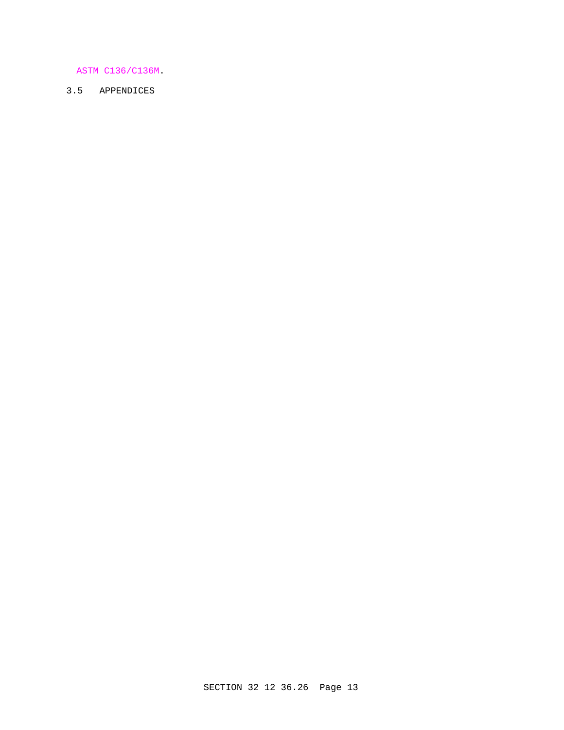# ASTM C136/C136M.

# 3.5 APPENDICES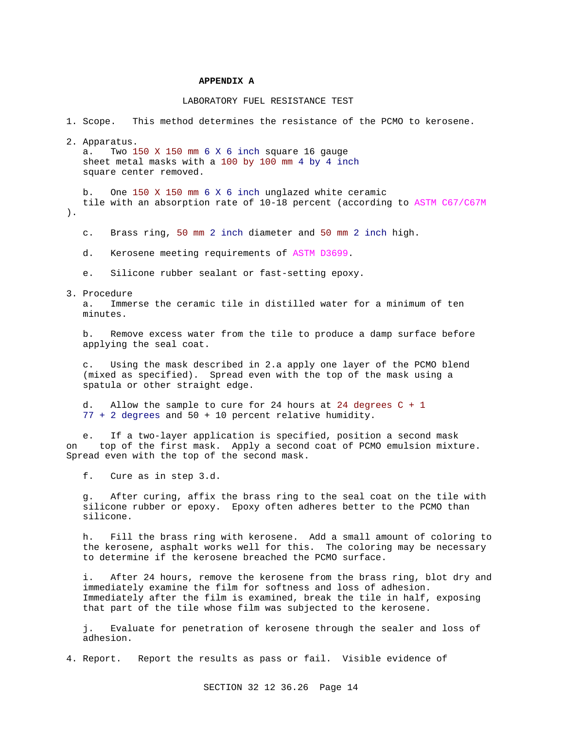### **APPENDIX A**

## LABORATORY FUEL RESISTANCE TEST

1. Scope. This method determines the resistance of the PCMO to kerosene.

2. Apparatus.

 a. Two 150 X 150 mm 6 X 6 inch square 16 gauge sheet metal masks with a 100 by 100 mm 4 by 4 inch square center removed.

 b. One 150 X 150 mm 6 X 6 inch unglazed white ceramic tile with an absorption rate of 10-18 percent (according to ASTM C67/C67M ).

c. Brass ring, 50 mm 2 inch diameter and 50 mm 2 inch high.

- d. Kerosene meeting requirements of ASTM D3699.
- e. Silicone rubber sealant or fast-setting epoxy.
- 3. Procedure

 a. Immerse the ceramic tile in distilled water for a minimum of ten minutes.

 b. Remove excess water from the tile to produce a damp surface before applying the seal coat.

 c. Using the mask described in 2.a apply one layer of the PCMO blend (mixed as specified). Spread even with the top of the mask using a spatula or other straight edge.

 d. Allow the sample to cure for 24 hours at 24 degrees C + 1 77 + 2 degrees and 50 + 10 percent relative humidity.

 e. If a two-layer application is specified, position a second mask on top of the first mask. Apply a second coat of PCMO emulsion mixture. Spread even with the top of the second mask.

f. Cure as in step 3.d.

 g. After curing, affix the brass ring to the seal coat on the tile with silicone rubber or epoxy. Epoxy often adheres better to the PCMO than silicone.

 h. Fill the brass ring with kerosene. Add a small amount of coloring to the kerosene, asphalt works well for this. The coloring may be necessary to determine if the kerosene breached the PCMO surface.

 i. After 24 hours, remove the kerosene from the brass ring, blot dry and immediately examine the film for softness and loss of adhesion. Immediately after the film is examined, break the tile in half, exposing that part of the tile whose film was subjected to the kerosene.

 j. Evaluate for penetration of kerosene through the sealer and loss of adhesion.

4. Report. Report the results as pass or fail. Visible evidence of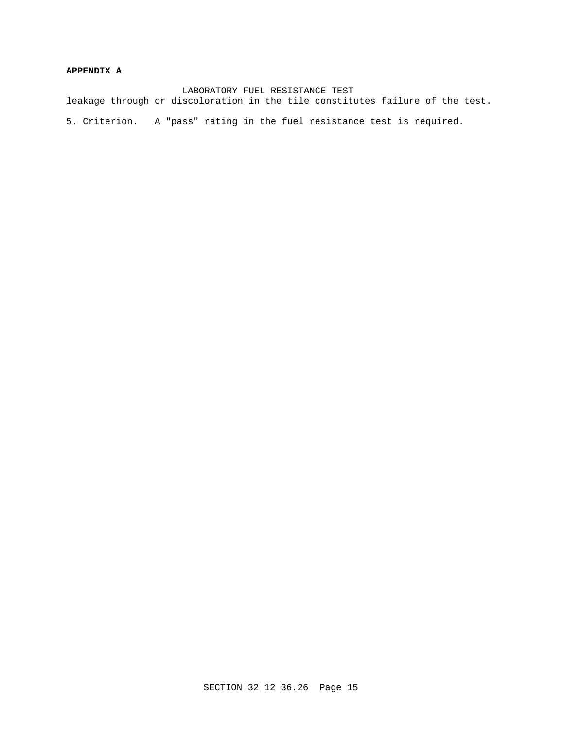# **APPENDIX A**

 LABORATORY FUEL RESISTANCE TEST leakage through or discoloration in the tile constitutes failure of the test. 5. Criterion. A "pass" rating in the fuel resistance test is required.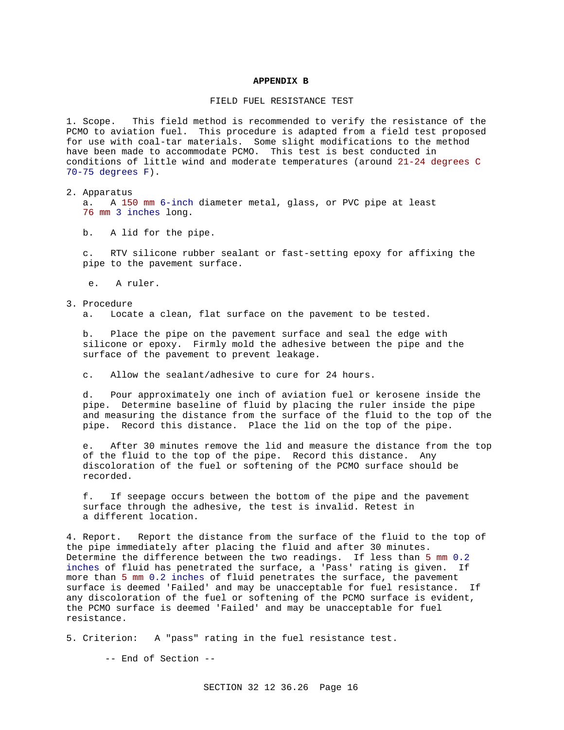### **APPENDIX B**

## FIELD FUEL RESISTANCE TEST

1. Scope. This field method is recommended to verify the resistance of the PCMO to aviation fuel. This procedure is adapted from a field test proposed for use with coal-tar materials. Some slight modifications to the method have been made to accommodate PCMO. This test is best conducted in conditions of little wind and moderate temperatures (around 21-24 degrees C 70-75 degrees F).

2. Apparatus

 a. A 150 mm 6-inch diameter metal, glass, or PVC pipe at least 76 mm 3 inches long.

b. A lid for the pipe.

 c. RTV silicone rubber sealant or fast-setting epoxy for affixing the pipe to the pavement surface.

- e. A ruler.
- 3. Procedure a. Locate a clean, flat surface on the pavement to be tested.

 b. Place the pipe on the pavement surface and seal the edge with silicone or epoxy. Firmly mold the adhesive between the pipe and the

c. Allow the sealant/adhesive to cure for 24 hours.

surface of the pavement to prevent leakage.

 d. Pour approximately one inch of aviation fuel or kerosene inside the pipe. Determine baseline of fluid by placing the ruler inside the pipe and measuring the distance from the surface of the fluid to the top of the pipe. Record this distance. Place the lid on the top of the pipe.

 e. After 30 minutes remove the lid and measure the distance from the top of the fluid to the top of the pipe. Record this distance. Any discoloration of the fuel or softening of the PCMO surface should be recorded.

 f. If seepage occurs between the bottom of the pipe and the pavement surface through the adhesive, the test is invalid. Retest in a different location.

4. Report. Report the distance from the surface of the fluid to the top of the pipe immediately after placing the fluid and after 30 minutes. Determine the difference between the two readings. If less than 5 mm 0.2 inches of fluid has penetrated the surface, a 'Pass' rating is given. If more than 5 mm 0.2 inches of fluid penetrates the surface, the pavement surface is deemed 'Failed' and may be unacceptable for fuel resistance. If any discoloration of the fuel or softening of the PCMO surface is evident, the PCMO surface is deemed 'Failed' and may be unacceptable for fuel resistance.

5. Criterion: A "pass" rating in the fuel resistance test.

-- End of Section --